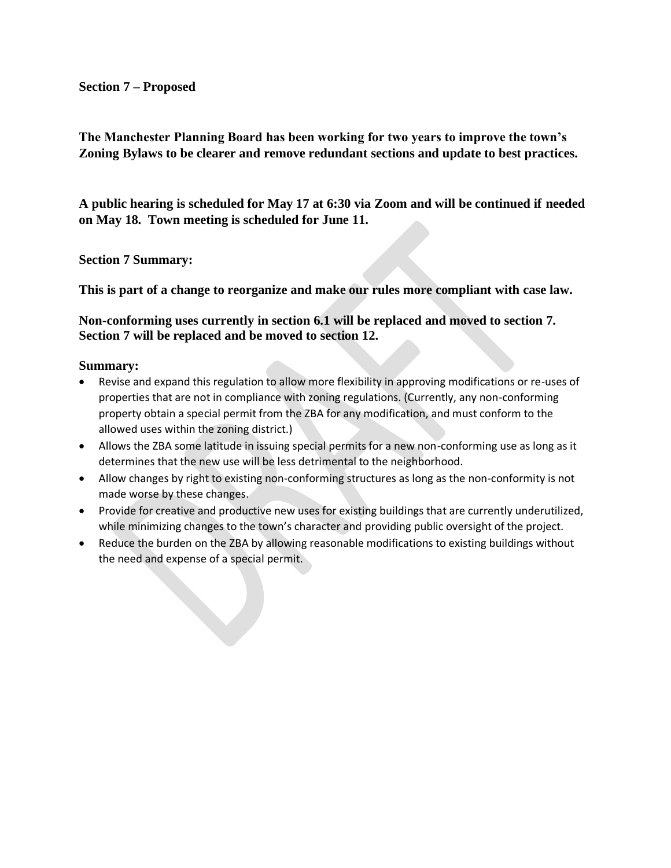#### **Section 7 – Proposed**

**The Manchester Planning Board has been working for two years to improve the town's Zoning Bylaws to be clearer and remove redundant sections and update to best practices.** 

**A public hearing is scheduled for May 17 at 6:30 via Zoom and will be continued if needed on May 18. Town meeting is scheduled for June 11.**

#### **Section 7 Summary:**

**This is part of a change to reorganize and make our rules more compliant with case law.**

#### **Non-conforming uses currently in section 6.1 will be replaced and moved to section 7. Section 7 will be replaced and be moved to section 12.**

#### **Summary:**

- Revise and expand this regulation to allow more flexibility in approving modifications or re-uses of properties that are not in compliance with zoning regulations. (Currently, any non-conforming property obtain a special permit from the ZBA for any modification, and must conform to the allowed uses within the zoning district.)
- Allows the ZBA some latitude in issuing special permits for a new non-conforming use as long as it determines that the new use will be less detrimental to the neighborhood.
- Allow changes by right to existing non-conforming structures as long as the non-conformity is not made worse by these changes.
- Provide for creative and productive new uses for existing buildings that are currently underutilized, while minimizing changes to the town's character and providing public oversight of the project.
- Reduce the burden on the ZBA by allowing reasonable modifications to existing buildings without the need and expense of a special permit.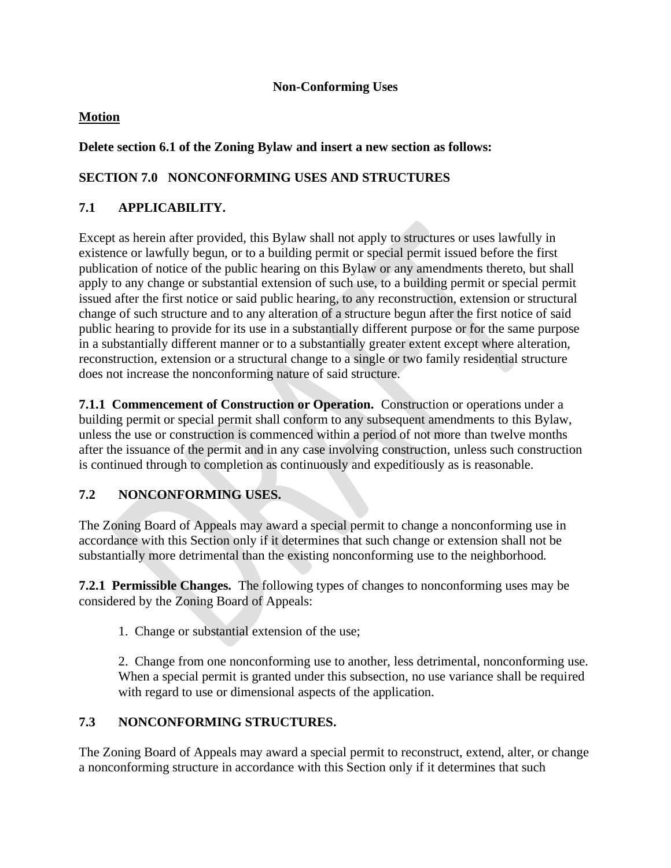### **Non-Conforming Uses**

### **Motion**

### **Delete section 6.1 of the Zoning Bylaw and insert a new section as follows:**

### **SECTION 7.0 NONCONFORMING USES AND STRUCTURES**

## **7.1 APPLICABILITY.**

Except as herein after provided, this Bylaw shall not apply to structures or uses lawfully in existence or lawfully begun, or to a building permit or special permit issued before the first publication of notice of the public hearing on this Bylaw or any amendments thereto, but shall apply to any change or substantial extension of such use, to a building permit or special permit issued after the first notice or said public hearing, to any reconstruction, extension or structural change of such structure and to any alteration of a structure begun after the first notice of said public hearing to provide for its use in a substantially different purpose or for the same purpose in a substantially different manner or to a substantially greater extent except where alteration, reconstruction, extension or a structural change to a single or two family residential structure does not increase the nonconforming nature of said structure.

**7.1.1 Commencement of Construction or Operation.** Construction or operations under a building permit or special permit shall conform to any subsequent amendments to this Bylaw, unless the use or construction is commenced within a period of not more than twelve months after the issuance of the permit and in any case involving construction, unless such construction is continued through to completion as continuously and expeditiously as is reasonable.

## **7.2 NONCONFORMING USES.**

The Zoning Board of Appeals may award a special permit to change a nonconforming use in accordance with this Section only if it determines that such change or extension shall not be substantially more detrimental than the existing nonconforming use to the neighborhood.

**7.2.1 Permissible Changes.** The following types of changes to nonconforming uses may be considered by the Zoning Board of Appeals:

1. Change or substantial extension of the use;

2. Change from one nonconforming use to another, less detrimental, nonconforming use. When a special permit is granted under this subsection, no use variance shall be required with regard to use or dimensional aspects of the application.

#### **7.3 NONCONFORMING STRUCTURES.**

The Zoning Board of Appeals may award a special permit to reconstruct, extend, alter, or change a nonconforming structure in accordance with this Section only if it determines that such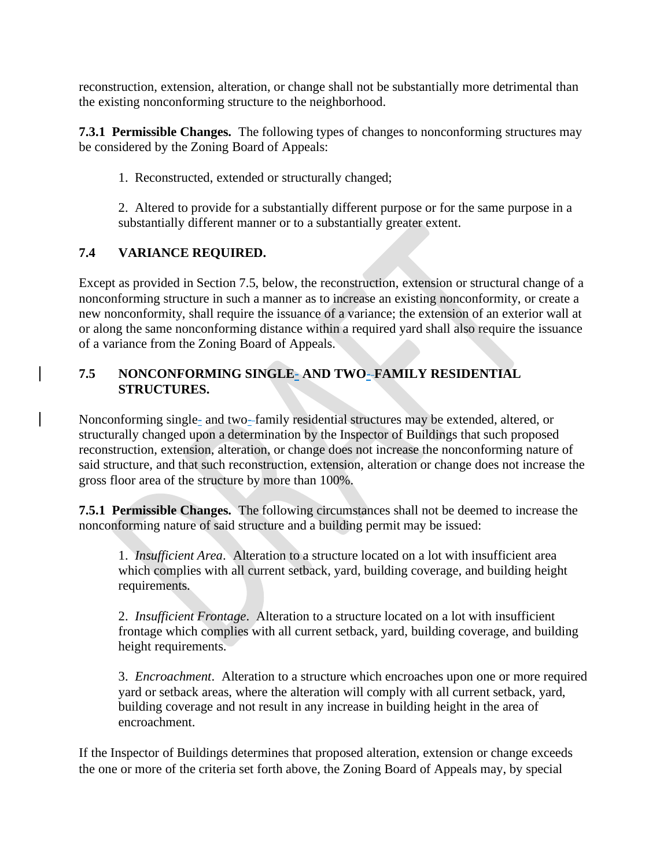reconstruction, extension, alteration, or change shall not be substantially more detrimental than the existing nonconforming structure to the neighborhood.

**7.3.1 Permissible Changes.** The following types of changes to nonconforming structures may be considered by the Zoning Board of Appeals:

1. Reconstructed, extended or structurally changed;

2. Altered to provide for a substantially different purpose or for the same purpose in a substantially different manner or to a substantially greater extent.

### **7.4 VARIANCE REQUIRED.**

Except as provided in Section 7.5, below, the reconstruction, extension or structural change of a nonconforming structure in such a manner as to increase an existing nonconformity, or create a new nonconformity, shall require the issuance of a variance; the extension of an exterior wall at or along the same nonconforming distance within a required yard shall also require the issuance of a variance from the Zoning Board of Appeals.

### **7.5 NONCONFORMING SINGLE- AND TWO- FAMILY RESIDENTIAL STRUCTURES.**

Nonconforming single- and two-family residential structures may be extended, altered, or structurally changed upon a determination by the Inspector of Buildings that such proposed reconstruction, extension, alteration, or change does not increase the nonconforming nature of said structure, and that such reconstruction, extension, alteration or change does not increase the gross floor area of the structure by more than 100%.

**7.5.1 Permissible Changes.** The following circumstances shall not be deemed to increase the nonconforming nature of said structure and a building permit may be issued:

1. *Insufficient Area*. Alteration to a structure located on a lot with insufficient area which complies with all current setback, yard, building coverage, and building height requirements.

2. *Insufficient Frontage*. Alteration to a structure located on a lot with insufficient frontage which complies with all current setback, yard, building coverage, and building height requirements.

3. *Encroachment*. Alteration to a structure which encroaches upon one or more required yard or setback areas, where the alteration will comply with all current setback, yard, building coverage and not result in any increase in building height in the area of encroachment.

If the Inspector of Buildings determines that proposed alteration, extension or change exceeds the one or more of the criteria set forth above, the Zoning Board of Appeals may, by special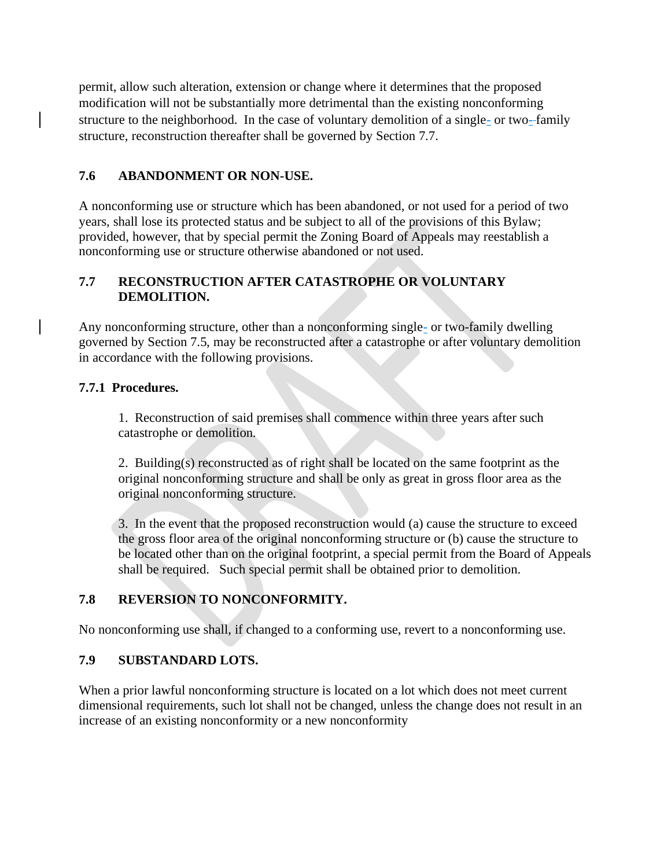permit, allow such alteration, extension or change where it determines that the proposed modification will not be substantially more detrimental than the existing nonconforming structure to the neighborhood. In the case of voluntary demolition of a single- or two-family structure, reconstruction thereafter shall be governed by Section 7.7.

### **7.6 ABANDONMENT OR NON-USE.**

A nonconforming use or structure which has been abandoned, or not used for a period of two years, shall lose its protected status and be subject to all of the provisions of this Bylaw; provided, however, that by special permit the Zoning Board of Appeals may reestablish a nonconforming use or structure otherwise abandoned or not used.

### **7.7 RECONSTRUCTION AFTER CATASTROPHE OR VOLUNTARY DEMOLITION.**

Any nonconforming structure, other than a nonconforming single- or two-family dwelling governed by Section 7.5, may be reconstructed after a catastrophe or after voluntary demolition in accordance with the following provisions.

#### **7.7.1 Procedures.**

1. Reconstruction of said premises shall commence within three years after such catastrophe or demolition.

2. Building(s) reconstructed as of right shall be located on the same footprint as the original nonconforming structure and shall be only as great in gross floor area as the original nonconforming structure.

3. In the event that the proposed reconstruction would (a) cause the structure to exceed the gross floor area of the original nonconforming structure or (b) cause the structure to be located other than on the original footprint, a special permit from the Board of Appeals shall be required. Such special permit shall be obtained prior to demolition.

## **7.8 REVERSION TO NONCONFORMITY.**

No nonconforming use shall, if changed to a conforming use, revert to a nonconforming use.

#### **7.9 SUBSTANDARD LOTS.**

When a prior lawful nonconforming structure is located on a lot which does not meet current dimensional requirements, such lot shall not be changed, unless the change does not result in an increase of an existing nonconformity or a new nonconformity